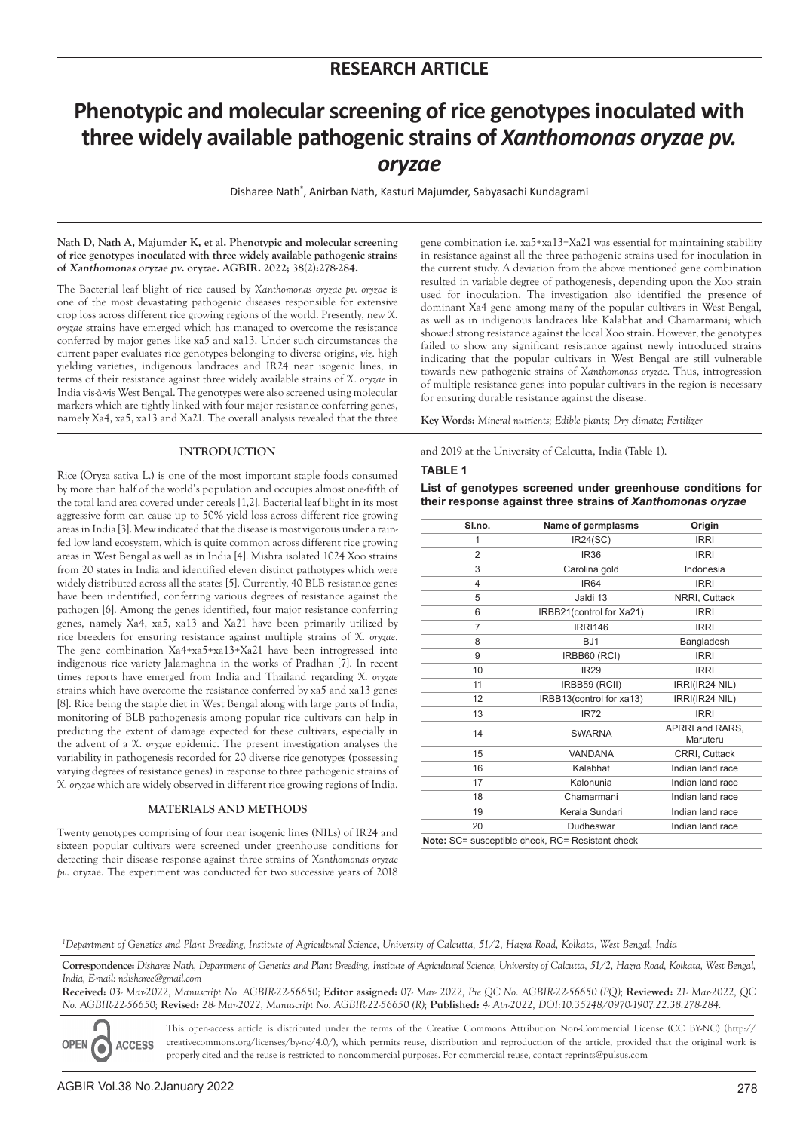# **Phenotypic and molecular screening of rice genotypes inoculated with three widely available pathogenic strains of** *Xanthomonas oryzae pv. oryzae*

Disharee Nath\* , Anirban Nath, Kasturi Majumder, Sabyasachi Kundagrami

#### **Nath D, Nath A, Majumder K, et al. Phenotypic and molecular screening of rice genotypes inoculated with three widely available pathogenic strains of** Xanthomonas oryzae pv**. oryzae. AGBIR. 2022; 38(2):278-284.**

The Bacterial leaf blight of rice caused by *Xanthomonas oryzae pv. oryzae* is one of the most devastating pathogenic diseases responsible for extensive crop loss across different rice growing regions of the world. Presently, new *X. oryzae* strains have emerged which has managed to overcome the resistance conferred by major genes like xa5 and xa13. Under such circumstances the current paper evaluates rice genotypes belonging to diverse origins, *viz*. high yielding varieties, indigenous landraces and IR24 near isogenic lines, in terms of their resistance against three widely available strains of *X. oryzae* in India vis-à-vis West Bengal. The genotypes were also screened using molecular markers which are tightly linked with four major resistance conferring genes, namely Xa4, xa5, xa13 and Xa21. The overall analysis revealed that the three

# **INTRODUCTION**

Rice (Oryza sativa L.) is one of the most important staple foods consumed by more than half of the world's population and occupies almost one-fifth of the total land area covered under cereals [1,2]. Bacterial leaf blight in its most aggressive form can cause up to 50% yield loss across different rice growing areas in India [3]. Mew indicated that the disease is most vigorous under a rainfed low land ecosystem, which is quite common across different rice growing areas in West Bengal as well as in India [4]. Mishra isolated 1024 Xoo strains from 20 states in India and identified eleven distinct pathotypes which were widely distributed across all the states [5]. Currently, 40 BLB resistance genes have been indentified, conferring various degrees of resistance against the pathogen [6]. Among the genes identified, four major resistance conferring genes, namely Xa4, xa5, xa13 and Xa21 have been primarily utilized by rice breeders for ensuring resistance against multiple strains of *X. oryzae*. The gene combination Xa4+xa5+xa13+Xa21 have been introgressed into indigenous rice variety Jalamaghna in the works of Pradhan [7]. In recent times reports have emerged from India and Thailand regarding *X. oryzae*  strains which have overcome the resistance conferred by xa5 and xa13 genes [8]. Rice being the staple diet in West Bengal along with large parts of India, monitoring of BLB pathogenesis among popular rice cultivars can help in predicting the extent of damage expected for these cultivars, especially in the advent of a *X. oryzae* epidemic. The present investigation analyses the variability in pathogenesis recorded for 20 diverse rice genotypes (possessing varying degrees of resistance genes) in response to three pathogenic strains of *X. oryzae* which are widely observed in different rice growing regions of India.

#### **MATERIALS AND METHODS**

Twenty genotypes comprising of four near isogenic lines (NILs) of IR24 and sixteen popular cultivars were screened under greenhouse conditions for detecting their disease response against three strains of *Xanthomonas oryzae pv*. oryzae. The experiment was conducted for two successive years of 2018

gene combination i.e. xa5+xa13+Xa21 was essential for maintaining stability in resistance against all the three pathogenic strains used for inoculation in the current study. A deviation from the above mentioned gene combination resulted in variable degree of pathogenesis, depending upon the Xoo strain used for inoculation. The investigation also identified the presence of dominant Xa4 gene among many of the popular cultivars in West Bengal, as well as in indigenous landraces like Kalabhat and Chamarmani; which showed strong resistance against the local Xoo strain. However, the genotypes failed to show any significant resistance against newly introduced strains indicating that the popular cultivars in West Bengal are still vulnerable towards new pathogenic strains of *Xanthomonas oryzae*. Thus, introgression of multiple resistance genes into popular cultivars in the region is necessary for ensuring durable resistance against the disease.

**Key Words:** *Mineral nutrients; Edible plants; Dry climate; Fertilizer*

and 2019 at the University of Calcutta, India (Table 1).

#### **TABLE 1**

**List of genotypes screened under greenhouse conditions for their response against three strains of** *Xanthomonas oryzae*

| SI.no.         | Name of germplasms                               | Origin                      |
|----------------|--------------------------------------------------|-----------------------------|
| 1              | IR24(SC)                                         | <b>IRRI</b>                 |
| $\overline{2}$ | <b>IR36</b>                                      | <b>IRRI</b>                 |
| 3              | Carolina gold                                    | Indonesia                   |
| $\overline{4}$ | <b>IR64</b>                                      | <b>IRRI</b>                 |
| 5              | Jaldi 13                                         | NRRI, Cuttack               |
| 6              | IRBB21(control for Xa21)                         | <b>IRRI</b>                 |
| $\overline{7}$ | <b>IRRI146</b>                                   | <b>IRRI</b>                 |
| 8              | BJ <sub>1</sub>                                  | Bangladesh                  |
| 9              | IRBB60 (RCI)                                     | <b>IRRI</b>                 |
| 10             | <b>IR29</b>                                      | <b>IRRI</b>                 |
| 11             | IRBB59 (RCII)                                    | IRRI(IR24 NIL)              |
| 12             | IRBB13(control for xa13)                         | IRRI(IR24 NIL)              |
| 13             | <b>IR72</b>                                      | <b>IRRI</b>                 |
| 14             | <b>SWARNA</b>                                    | APRRI and RARS,<br>Maruteru |
| 15             | VANDANA                                          | CRRI, Cuttack               |
| 16             | Kalabhat                                         | Indian land race            |
| 17             | Kalonunia                                        | Indian land race            |
| 18             | Chamarmani                                       | Indian land race            |
| 19             | Kerala Sundari                                   | Indian land race            |
| 20             | Dudheswar                                        | Indian land race            |
|                | Note: SC= susceptible check, RC= Resistant check |                             |

*1 Department of Genetics and Plant Breeding, Institute of Agricultural Science, University of Calcutta, 51/2, Hazra Road, Kolkata, West Bengal, India*

**Correspondence:** *Disharee Nath, Department of Genetics and Plant Breeding, Institute of Agricultural Science, University of Calcutta, 51/2, Hazra Road, Kolkata, West Bengal, India, E-mail: ndisharee@gmail.com*

**Received:** *03- Mar-2022, Manuscript No. AGBIR-22-56650;* **Editor assigned:** *07- Mar- 2022, Pre QC No. AGBIR-22-56650 (PQ);* **Reviewed:** *21- Mar-2022, QC No. AGBIR-22-56650;* **Revised:** *28- Mar-2022, Manuscript No. AGBIR-22-56650 (R);* **Published:** *4- Apr-2022, DOI:10.35248/0970-1907.22.38.278-284.*

This open-access article is distributed under the terms of the Creative Commons Attribution Non-Commercial License (CC BY-NC) (http:// **ACCESS** creativecommons.org/licenses/by-nc/4.0/), which permits reuse, distribution and reproduction of the article, provided that the original work is properly cited and the reuse is restricted to noncommercial purposes. For commercial reuse, contact reprints@pulsus.com

**OPEN**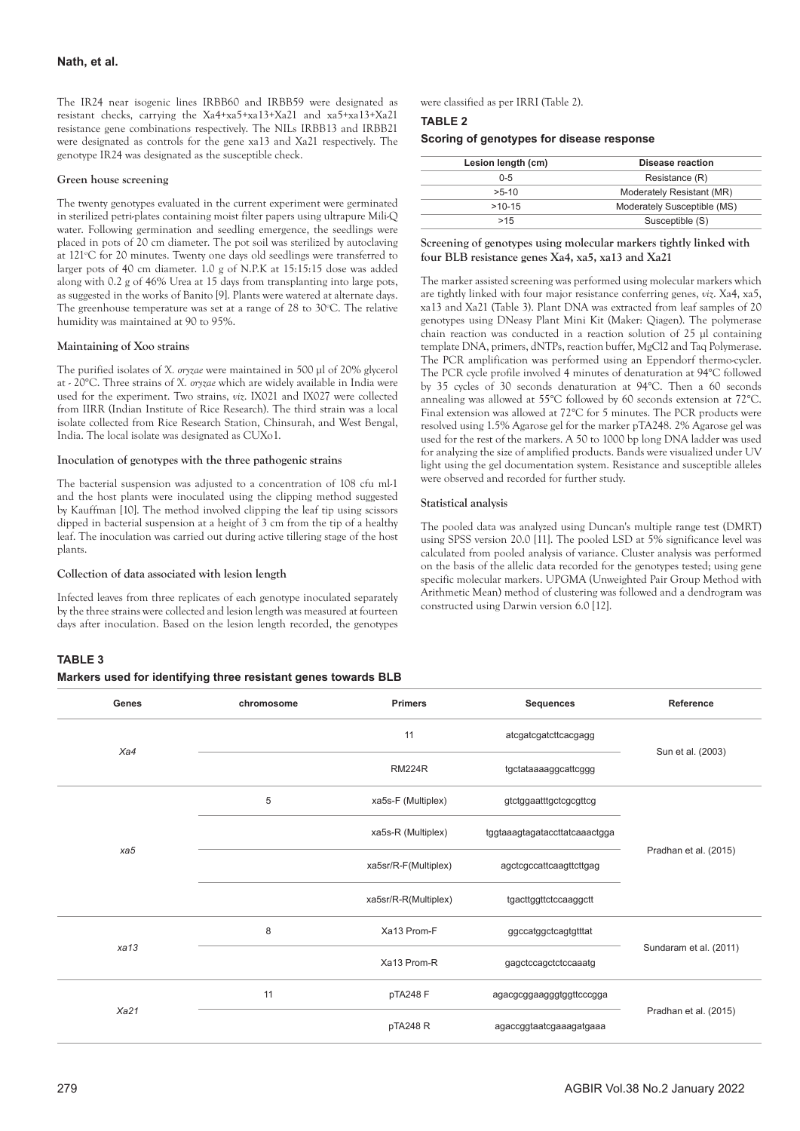The IR24 near isogenic lines IRBB60 and IRBB59 were designated as resistant checks, carrying the Xa4+xa5+xa13+Xa21 and xa5+xa13+Xa21 resistance gene combinations respectively. The NILs IRBB13 and IRBB21 were designated as controls for the gene xa13 and Xa21 respectively. The genotype IR24 was designated as the susceptible check.

## **Green house screening**

The twenty genotypes evaluated in the current experiment were germinated in sterilized petri-plates containing moist filter papers using ultrapure Mili-Q water. Following germination and seedling emergence, the seedlings were placed in pots of 20 cm diameter. The pot soil was sterilized by autoclaving at 121°C for 20 minutes. Twenty one days old seedlings were transferred to larger pots of 40 cm diameter. 1.0 g of N.P.K at 15:15:15 dose was added along with 0.2 g of 46% Urea at 15 days from transplanting into large pots, as suggested in the works of Banito [9]. Plants were watered at alternate days. The greenhouse temperature was set at a range of 28 to 30°C. The relative humidity was maintained at 90 to 95%.

# **Maintaining of Xoo strains**

The purified isolates of *X. oryzae* were maintained in 500 µl of 20% glycerol at - 20°C. Three strains of *X. oryzae* which are widely available in India were used for the experiment. Two strains, *viz*. IX021 and IX027 were collected from IIRR (Indian Institute of Rice Research). The third strain was a local isolate collected from Rice Research Station, Chinsurah, and West Bengal, India. The local isolate was designated as CUXo1.

## **Inoculation of genotypes with the three pathogenic strains**

The bacterial suspension was adjusted to a concentration of 108 cfu ml-1 and the host plants were inoculated using the clipping method suggested by Kauffman [10]. The method involved clipping the leaf tip using scissors dipped in bacterial suspension at a height of 3 cm from the tip of a healthy leaf. The inoculation was carried out during active tillering stage of the host plants.

#### **Collection of data associated with lesion length**

Infected leaves from three replicates of each genotype inoculated separately by the three strains were collected and lesion length was measured at fourteen days after inoculation. Based on the lesion length recorded, the genotypes

# **TABLE 3**

## **Markers used for identifying three resistant genes towards BLB**

were classified as per IRRI (Table 2).

## **TABLE 2**

**Scoring of genotypes for disease response** 

| Lesion length (cm) | Disease reaction            |
|--------------------|-----------------------------|
| $0 - 5$            | Resistance (R)              |
| $>5-10$            | Moderately Resistant (MR)   |
| $>10-15$           | Moderately Susceptible (MS) |
| >15                | Susceptible (S)             |

**Screening of genotypes using molecular markers tightly linked with four BLB resistance genes Xa4, xa5, xa13 and Xa21**

The marker assisted screening was performed using molecular markers which are tightly linked with four major resistance conferring genes, *viz*. Xa4, xa5, xa13 and Xa21 (Table 3). Plant DNA was extracted from leaf samples of 20 genotypes using DNeasy Plant Mini Kit (Maker: Qiagen). The polymerase chain reaction was conducted in a reaction solution of 25 µl containing template DNA, primers, dNTPs, reaction buffer, MgCl2 and Taq Polymerase. The PCR amplification was performed using an Eppendorf thermo-cycler. The PCR cycle profile involved 4 minutes of denaturation at 94°C followed by 35 cycles of 30 seconds denaturation at 94°C. Then a 60 seconds annealing was allowed at 55°C followed by 60 seconds extension at 72°C. Final extension was allowed at 72°C for 5 minutes. The PCR products were resolved using 1.5% Agarose gel for the marker pTA248. 2% Agarose gel was used for the rest of the markers. A 50 to 1000 bp long DNA ladder was used for analyzing the size of amplified products. Bands were visualized under UV light using the gel documentation system. Resistance and susceptible alleles were observed and recorded for further study.

## **Statistical analysis**

The pooled data was analyzed using Duncan's multiple range test (DMRT) using SPSS version 20.0 [11]. The pooled LSD at 5% significance level was calculated from pooled analysis of variance. Cluster analysis was performed on the basis of the allelic data recorded for the genotypes tested; using gene specific molecular markers. UPGMA (Unweighted Pair Group Method with Arithmetic Mean) method of clustering was followed and a dendrogram was constructed using Darwin version 6.0 [12].

| <b>Genes</b> | chromosome | <b>Primers</b>       | <b>Sequences</b>              | Reference              |  |
|--------------|------------|----------------------|-------------------------------|------------------------|--|
| Xa4          |            | 11                   | atcgatcgatcttcacgagg          | Sun et al. (2003)      |  |
|              |            | <b>RM224R</b>        | tgctataaaaggcattcggg          |                        |  |
|              | $\sqrt{5}$ | xa5s-F (Multiplex)   | gtctggaatttgctcgcgttcg        |                        |  |
| xa5          |            | xa5s-R (Multiplex)   | tggtaaagtagataccttatcaaactgga | Pradhan et al. (2015)  |  |
|              |            | xa5sr/R-F(Multiplex) | agctcgccattcaagttcttgag       |                        |  |
|              |            | xa5sr/R-R(Multiplex) | tgacttggttctccaaggctt         |                        |  |
|              | 8          | Xa13 Prom-F          | ggccatggctcagtgtttat          | Sundaram et al. (2011) |  |
| xa13         |            | Xa13 Prom-R          | gagctccagctctccaaatg          |                        |  |
| Xa21         | 11         | pTA248 F             | agacgcggaagggtggttcccgga      |                        |  |
|              |            | pTA248R              | agaccggtaatcgaaagatgaaa       | Pradhan et al. (2015)  |  |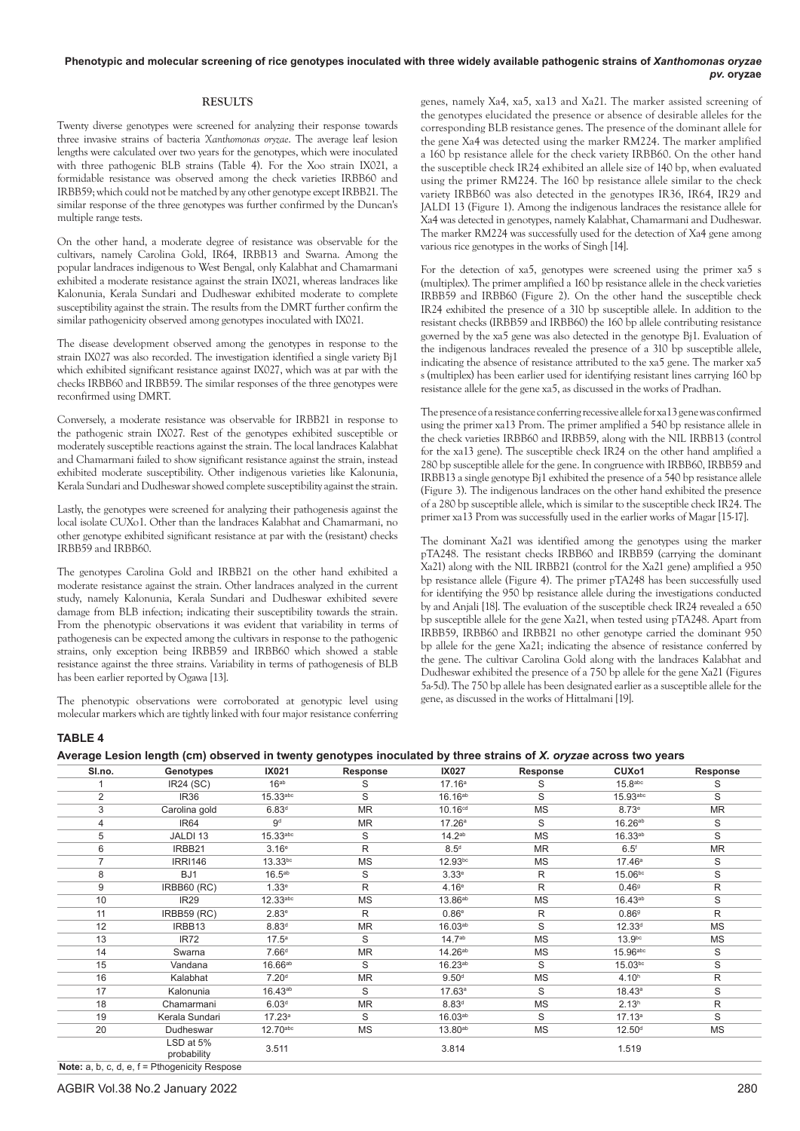# **RESULTS**

Twenty diverse genotypes were screened for analyzing their response towards three invasive strains of bacteria *Xanthomonas oryzae*. The average leaf lesion lengths were calculated over two years for the genotypes, which were inoculated with three pathogenic BLB strains (Table 4). For the Xoo strain IX021, a formidable resistance was observed among the check varieties IRBB60 and IRBB59; which could not be matched by any other genotype except IRBB21. The similar response of the three genotypes was further confirmed by the Duncan's multiple range tests.

On the other hand, a moderate degree of resistance was observable for the cultivars, namely Carolina Gold, IR64, IRBB13 and Swarna. Among the popular landraces indigenous to West Bengal, only Kalabhat and Chamarmani exhibited a moderate resistance against the strain IX021, whereas landraces like Kalonunia, Kerala Sundari and Dudheswar exhibited moderate to complete susceptibility against the strain. The results from the DMRT further confirm the similar pathogenicity observed among genotypes inoculated with IX021.

The disease development observed among the genotypes in response to the strain IX027 was also recorded. The investigation identified a single variety Bj1 which exhibited significant resistance against IX027, which was at par with the checks IRBB60 and IRBB59. The similar responses of the three genotypes were reconfirmed using DMRT.

Conversely, a moderate resistance was observable for IRBB21 in response to the pathogenic strain IX027. Rest of the genotypes exhibited susceptible or moderately susceptible reactions against the strain. The local landraces Kalabhat and Chamarmani failed to show significant resistance against the strain, instead exhibited moderate susceptibility. Other indigenous varieties like Kalonunia, Kerala Sundari and Dudheswar showed complete susceptibility against the strain.

Lastly, the genotypes were screened for analyzing their pathogenesis against the local isolate CUXo1. Other than the landraces Kalabhat and Chamarmani, no other genotype exhibited significant resistance at par with the (resistant) checks IRBB59 and IRBB60.

The genotypes Carolina Gold and IRBB21 on the other hand exhibited a moderate resistance against the strain. Other landraces analyzed in the current study, namely Kalonunia, Kerala Sundari and Dudheswar exhibited severe damage from BLB infection; indicating their susceptibility towards the strain. From the phenotypic observations it was evident that variability in terms of pathogenesis can be expected among the cultivars in response to the pathogenic strains, only exception being IRBB59 and IRBB60 which showed a stable resistance against the three strains. Variability in terms of pathogenesis of BLB has been earlier reported by Ogawa [13].

The phenotypic observations were corroborated at genotypic level using molecular markers which are tightly linked with four major resistance conferring

genes, namely Xa4, xa5, xa13 and Xa21. The marker assisted screening of the genotypes elucidated the presence or absence of desirable alleles for the corresponding BLB resistance genes. The presence of the dominant allele for the gene Xa4 was detected using the marker RM224. The marker amplified a 160 bp resistance allele for the check variety IRBB60. On the other hand the susceptible check IR24 exhibited an allele size of 140 bp, when evaluated using the primer RM224. The 160 bp resistance allele similar to the check variety IRBB60 was also detected in the genotypes IR36, IR64, IR29 and JALDI 13 (Figure 1). Among the indigenous landraces the resistance allele for Xa4 was detected in genotypes, namely Kalabhat, Chamarmani and Dudheswar. The marker RM224 was successfully used for the detection of Xa4 gene among various rice genotypes in the works of Singh [14].

For the detection of xa5, genotypes were screened using the primer xa5 s (multiplex). The primer amplified a 160 bp resistance allele in the check varieties IRBB59 and IRBB60 (Figure 2). On the other hand the susceptible check IR24 exhibited the presence of a 310 bp susceptible allele. In addition to the resistant checks (IRBB59 and IRBB60) the 160 bp allele contributing resistance governed by the xa5 gene was also detected in the genotype Bj1. Evaluation of the indigenous landraces revealed the presence of a 310 bp susceptible allele, indicating the absence of resistance attributed to the xa5 gene. The marker xa5 s (multiplex) has been earlier used for identifying resistant lines carrying 160 bp resistance allele for the gene xa5, as discussed in the works of Pradhan.

The presence of a resistance conferring recessive allele for xa13 gene was confirmed using the primer xa13 Prom. The primer amplified a 540 bp resistance allele in the check varieties IRBB60 and IRBB59, along with the NIL IRBB13 (control for the xa13 gene). The susceptible check IR24 on the other hand amplified a 280 bp susceptible allele for the gene. In congruence with IRBB60, IRBB59 and IRBB13 a single genotype Bj1 exhibited the presence of a 540 bp resistance allele (Figure 3). The indigenous landraces on the other hand exhibited the presence of a 280 bp susceptible allele, which is similar to the susceptible check IR24. The primer xa13 Prom was successfully used in the earlier works of Magar [15-17].

The dominant Xa21 was identified among the genotypes using the marker pTA248. The resistant checks IRBB60 and IRBB59 (carrying the dominant Xa21) along with the NIL IRBB21 (control for the Xa21 gene) amplified a 950 bp resistance allele (Figure 4). The primer pTA248 has been successfully used for identifying the 950 bp resistance allele during the investigations conducted by and Anjali [18]. The evaluation of the susceptible check IR24 revealed a 650 bp susceptible allele for the gene Xa21, when tested using pTA248. Apart from IRBB59, IRBB60 and IRBB21 no other genotype carried the dominant 950 bp allele for the gene Xa21; indicating the absence of resistance conferred by the gene. The cultivar Carolina Gold along with the landraces Kalabhat and Dudheswar exhibited the presence of a 750 bp allele for the gene Xa21 (Figures 5a-5d). The 750 bp allele has been designated earlier as a susceptible allele for the gene, as discussed in the works of Hittalmani [19].

# **TABLE 4**

|  |  |  |  | Average Lesion length (cm) observed in twenty genotypes inoculated by three strains of <i>X. oryzae</i> across two years |
|--|--|--|--|--------------------------------------------------------------------------------------------------------------------------|
|--|--|--|--|--------------------------------------------------------------------------------------------------------------------------|

| SI.no. | Genotypes                | IX021                  | Response     | IX027               | Response  | CUXo1               | Response  |
|--------|--------------------------|------------------------|--------------|---------------------|-----------|---------------------|-----------|
|        | IR24(SC)                 | 16 <sup>ab</sup>       | S            | $17.16^a$           | S         | $15.8a$ bc          | S         |
| 2      | IR <sub>36</sub>         | $15.33$ <sup>abc</sup> | S            | 16.16 <sup>ab</sup> | S         | 15.93abc            | S         |
| 3      | Carolina gold            | 6.83 <sup>d</sup>      | <b>MR</b>    | 10.16 <sup>cd</sup> | MS        | 8.73e               | <b>MR</b> |
|        | <b>IR64</b>              | gd                     | MR           | 17.26a              | S         | 16.26 <sup>ab</sup> | S         |
| 5      | JALDI 13                 | $15.33$ abc            | S            | $14.2^{ab}$         | MS        | $16.33^{ab}$        | S         |
| 6      | IRBB21                   | 3.16 <sup>e</sup>      | R.           | 8.5 <sup>d</sup>    | <b>MR</b> | 6.5 <sup>f</sup>    | <b>MR</b> |
|        | <b>IRRI146</b>           | $13.33^{bc}$           | <b>MS</b>    | 12.93bc             | MS        | 17.46a              | S         |
| 8      | BJ1                      | 16.5 <sup>ab</sup>     | S            | 3.33e               | R         | 15.06 <sup>bc</sup> | S         |
| 9      | IRBB60 (RC)              | 1.33 <sup>e</sup>      | R            | $4.16^e$            | R         | 0.469               | R         |
| 10     | <b>IR29</b>              | $12.33$ abc            | <b>MS</b>    | 13.86 <sup>ab</sup> | MS        | $16.43^{ab}$        | S         |
| 11     | IRBB59 (RC)              | 2.83 <sup>e</sup>      | $\mathsf{R}$ | 0.86e               | R         | 0.869               | R         |
| 12     | IRBB13                   | 8.83 <sup>d</sup>      | <b>MR</b>    | $16.03^{ab}$        | S         | $12.33^{d}$         | <b>MS</b> |
| 13     | IR72                     | $17.5^{\circ}$         | S            | $14.7^{ab}$         | MS        | 13.9 <sup>bc</sup>  | MS        |
| 14     | Swarna                   | 7.66 <sup>d</sup>      | <b>MR</b>    | 14.26 <sup>ab</sup> | MS        | 15.96abc            | S         |
| 15     | Vandana                  | 16.66a <sub>b</sub>    | S            | 16.23ab             | S         | $15.03^{bc}$        | S         |
| 16     | Kalabhat                 | 7.20 <sup>d</sup>      | <b>MR</b>    | 9.50 <sup>d</sup>   | MS        | 4.10 <sup>h</sup>   | R         |
| 17     | Kalonunia                | $16.43^{ab}$           | S            | 17.63a              | S         | 18.43a              | S         |
| 18     | Chamarmani               | 6.03 <sup>d</sup>      | <b>MR</b>    | 8.83 <sup>d</sup>   | MS        | 2.13 <sup>h</sup>   | R         |
| 19     | Kerala Sundari           | $17.23^{\circ}$        | S            | $16.03^{ab}$        | S         | 17.13 <sup>a</sup>  | S         |
| 20     | Dudheswar                | 12.70abc               | <b>MS</b>    | 13.80ab             | MS        | 12.50 <sup>d</sup>  | MS        |
|        | LSD at 5%<br>probability | 3.511                  |              | 3.814               |           | 1.519               |           |

**Note:** a, b, c, d, e, f = Pthogenicity Respose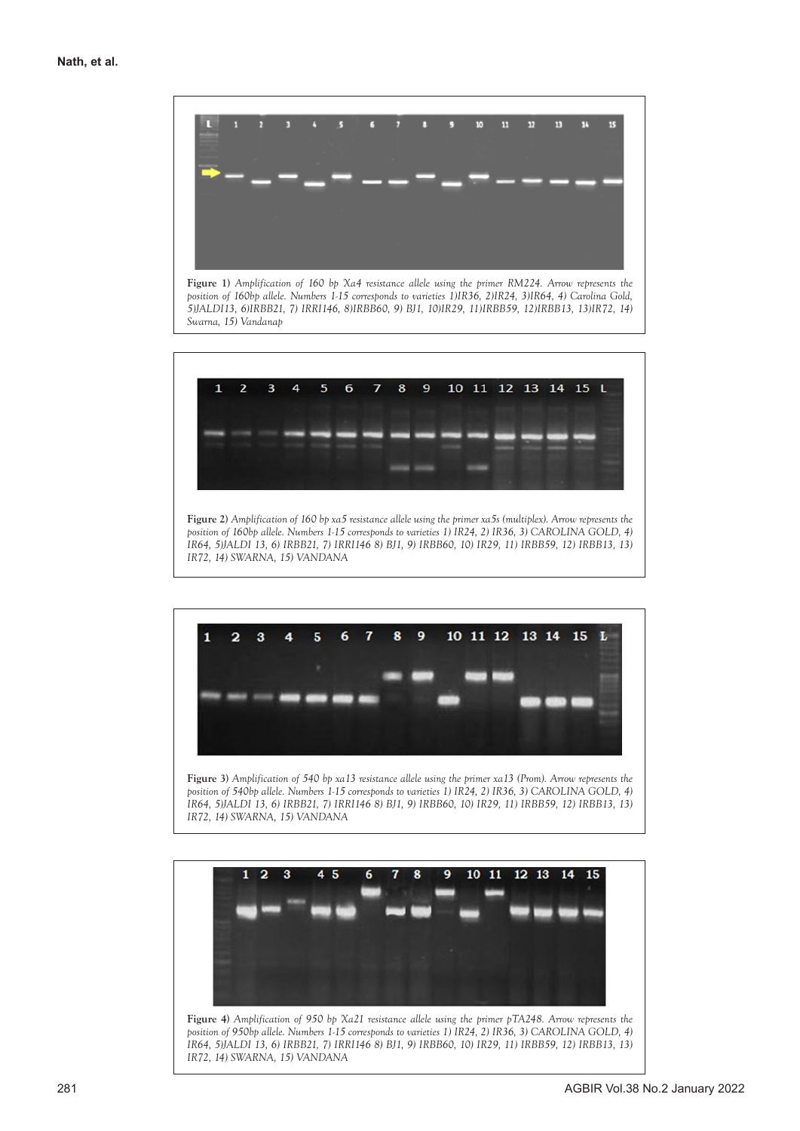

**Figure 1)** *Amplification of 160 bp Xa4 resistance allele using the primer RM224. Arrow represents the position of 160bp allele. Numbers 1-15 corresponds to varieties 1)IR36, 2)IR24, 3)IR64, 4) Carolina Gold, 5)JALDI13, 6)IRBB21, 7) IRRI146, 8)IRBB60, 9) BJ1, 10)IR29, 11)IRBB59, 12)IRBB13, 13)IR72, 14) Swarna, 15) Vandanap*



**Figure 2)** *Amplification of 160 bp xa5 resistance allele using the primer xa5s (multiplex). Arrow represents the position of 160bp allele. Numbers 1-15 corresponds to varieties 1) IR24, 2) IR36, 3) CAROLINA GOLD, 4) IR64, 5)JALDI 13, 6) IRBB21, 7) IRRI146 8) BJ1, 9) IRBB60, 10) IR29, 11) IRBB59, 12) IRBB13, 13) IR72, 14) SWARNA, 15) VANDANA*



**Figure 3)** *Amplification of 540 bp xa13 resistance allele using the primer xa13 (Prom). Arrow represents the position of 540bp allele. Numbers 1-15 corresponds to varieties 1) IR24, 2) IR36, 3) CAROLINA GOLD, 4) IR64, 5)JALDI 13, 6) IRBB21, 7) IRRI146 8) BJ1, 9) IRBB60, 10) IR29, 11) IRBB59, 12) IRBB13, 13) IR72, 14) SWARNA, 15) VANDANA*



**Figure 4)** *Amplification of 950 bp Xa21 resistance allele using the primer pTA248. Arrow represents the position of 950bp allele. Numbers 1-15 corresponds to varieties 1) IR24, 2) IR36, 3) CAROLINA GOLD, 4) IR64, 5)JALDI 13, 6) IRBB21, 7) IRRI146 8) BJ1, 9) IRBB60, 10) IR29, 11) IRBB59, 12) IRBB13, 13) IR72, 14) SWARNA, 15) VANDANA*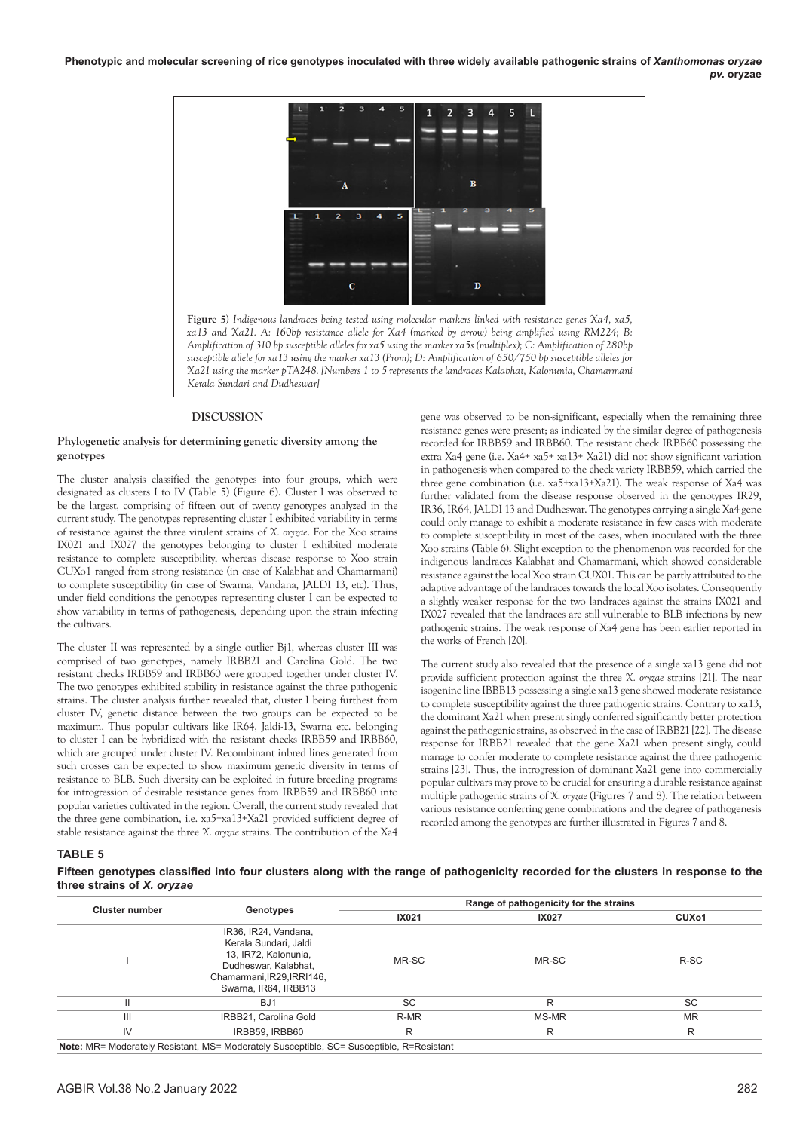**Phenotypic and molecular screening of rice genotypes inoculated with three widely available pathogenic strains of** *Xanthomonas oryzae pv.* **oryzae**



#### **DISCUSSION**

#### **Phylogenetic analysis for determining genetic diversity among the genotypes**

The cluster analysis classified the genotypes into four groups, which were designated as clusters I to IV (Table 5) (Figure 6). Cluster I was observed to be the largest, comprising of fifteen out of twenty genotypes analyzed in the current study. The genotypes representing cluster I exhibited variability in terms of resistance against the three virulent strains of *X. oryzae*. For the Xoo strains IX021 and IX027 the genotypes belonging to cluster I exhibited moderate resistance to complete susceptibility, whereas disease response to Xoo strain CUXo1 ranged from strong resistance (in case of Kalabhat and Chamarmani) to complete susceptibility (in case of Swarna, Vandana, JALDI 13, etc). Thus, under field conditions the genotypes representing cluster I can be expected to show variability in terms of pathogenesis, depending upon the strain infecting the cultivars.

The cluster II was represented by a single outlier Bj1, whereas cluster III was comprised of two genotypes, namely IRBB21 and Carolina Gold. The two resistant checks IRBB59 and IRBB60 were grouped together under cluster IV. The two genotypes exhibited stability in resistance against the three pathogenic strains. The cluster analysis further revealed that, cluster I being furthest from cluster IV, genetic distance between the two groups can be expected to be maximum. Thus popular cultivars like IR64, Jaldi-13, Swarna etc. belonging to cluster I can be hybridized with the resistant checks IRBB59 and IRBB60, which are grouped under cluster IV. Recombinant inbred lines generated from such crosses can be expected to show maximum genetic diversity in terms of resistance to BLB. Such diversity can be exploited in future breeding programs for introgression of desirable resistance genes from IRBB59 and IRBB60 into popular varieties cultivated in the region. Overall, the current study revealed that the three gene combination, i.e. xa5+xa13+Xa21 provided sufficient degree of stable resistance against the three *X. oryzae* strains. The contribution of the Xa4

gene was observed to be non-significant, especially when the remaining three resistance genes were present; as indicated by the similar degree of pathogenesis recorded for IRBB59 and IRBB60. The resistant check IRBB60 possessing the extra Xa4 gene (i.e. Xa4+ xa5+ xa13+ Xa21) did not show significant variation in pathogenesis when compared to the check variety IRBB59, which carried the three gene combination (i.e. xa5+xa13+Xa21). The weak response of Xa4 was further validated from the disease response observed in the genotypes IR29, IR36, IR64, JALDI 13 and Dudheswar. The genotypes carrying a single Xa4 gene could only manage to exhibit a moderate resistance in few cases with moderate to complete susceptibility in most of the cases, when inoculated with the three Xoo strains (Table 6). Slight exception to the phenomenon was recorded for the indigenous landraces Kalabhat and Chamarmani, which showed considerable resistance against the local Xoo strain CUX01. This can be partly attributed to the adaptive advantage of the landraces towards the local Xoo isolates. Consequently a slightly weaker response for the two landraces against the strains IX021 and IX027 revealed that the landraces are still vulnerable to BLB infections by new pathogenic strains. The weak response of Xa4 gene has been earlier reported in the works of French [20].

The current study also revealed that the presence of a single xa13 gene did not provide sufficient protection against the three *X. oryzae* strains [21]. The near isogeninc line IBBB13 possessing a single xa13 gene showed moderate resistance to complete susceptibility against the three pathogenic strains. Contrary to xa13, the dominant Xa21 when present singly conferred significantly better protection against the pathogenic strains, as observed in the case of IRBB21 [22]. The disease response for IRBB21 revealed that the gene Xa21 when present singly, could manage to confer moderate to complete resistance against the three pathogenic strains [23]. Thus, the introgression of dominant Xa21 gene into commercially popular cultivars may prove to be crucial for ensuring a durable resistance against multiple pathogenic strains of *X. oryzae* (Figures 7 and 8). The relation between various resistance conferring gene combinations and the degree of pathogenesis recorded among the genotypes are further illustrated in Figures 7 and 8.

#### **TABLE 5**

**Fifteen genotypes classified into four clusters along with the range of pathogenicity recorded for the clusters in response to the three strains of** *X. oryzae*

|                       | Genotypes                                                                                                                                           | Range of pathogenicity for the strains |              |                   |  |  |
|-----------------------|-----------------------------------------------------------------------------------------------------------------------------------------------------|----------------------------------------|--------------|-------------------|--|--|
| <b>Cluster number</b> |                                                                                                                                                     | IX021                                  | <b>IX027</b> | CUX <sub>01</sub> |  |  |
|                       | IR36, IR24, Vandana,<br>Kerala Sundari, Jaldi<br>13, IR72, Kalonunia,<br>Dudheswar, Kalabhat,<br>Chamarmani, IR29, IRRI146,<br>Swarna, IR64, IRBB13 | MR-SC                                  | MR-SC        | R-SC              |  |  |
|                       | BJ <sub>1</sub>                                                                                                                                     | <b>SC</b>                              | R            | <b>SC</b>         |  |  |
| $\mathsf{III}$        | IRBB21, Carolina Gold                                                                                                                               | R-MR                                   | MS-MR        | <b>MR</b>         |  |  |
| IV                    | IRBB59, IRBB60                                                                                                                                      | R                                      | R            | R                 |  |  |

**Note:** MR= Moderately Resistant, MS= Moderately Susceptible, SC= Susceptible, R=Resistant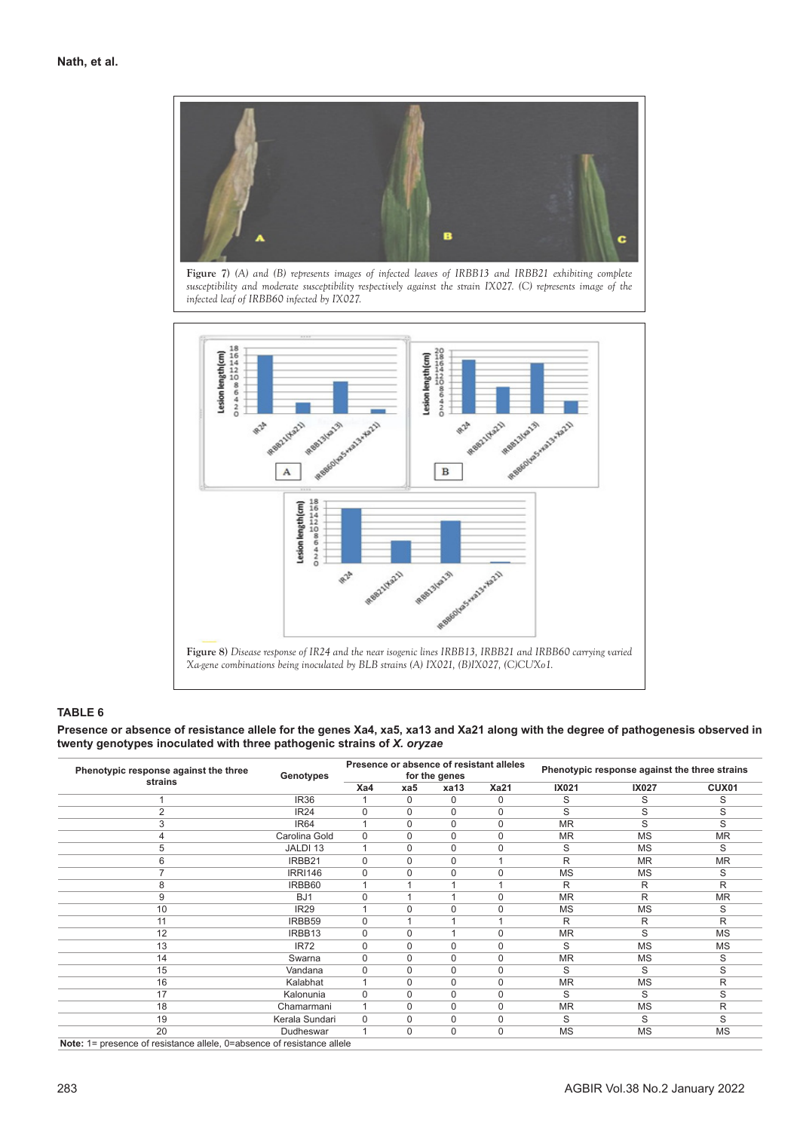

*susceptibility and moderate susceptibility respectively against the strain IX027. (C) represents image of the infected leaf of IRBB60 infected by IX027.*



# **TABLE 6**

**Presence or absence of resistance allele for the genes Xa4, xa5, xa13 and Xa21 along with the degree of pathogenesis observed in twenty genotypes inoculated with three pathogenic strains of** *X. oryzae*

| Phenotypic response against the three                                  |                  | Presence or absence of resistant alleles |          |          |             | Phenotypic response against the three strains |              |           |
|------------------------------------------------------------------------|------------------|------------------------------------------|----------|----------|-------------|-----------------------------------------------|--------------|-----------|
|                                                                        | Genotypes        | for the genes                            |          |          |             |                                               |              |           |
| strains                                                                |                  | Xa4                                      | xa5      | xa13     | <b>Xa21</b> | IX021                                         | <b>IX027</b> | CUX01     |
|                                                                        | <b>IR36</b>      |                                          | O        | 0        | 0           | S                                             | S            | S         |
|                                                                        | <b>IR24</b>      | 0                                        | U        | 0        | O           | S                                             | S            | S         |
| 3                                                                      | <b>IR64</b>      |                                          |          | 0        | 0           | <b>MR</b>                                     | S            | S         |
|                                                                        | Carolina Gold    | $\Omega$                                 |          | 0        | $\Omega$    | <b>MR</b>                                     | <b>MS</b>    | <b>MR</b> |
| 5                                                                      | JALDI 13         |                                          | O        | 0        | $\Omega$    | S                                             | <b>MS</b>    | S         |
| 6                                                                      | IRBB21           | $\mathbf 0$                              | $\Omega$ | 0        |             | R                                             | <b>MR</b>    | <b>MR</b> |
|                                                                        | <b>IRRI146</b>   | $\Omega$                                 | $\Omega$ | 0        | 0           | <b>MS</b>                                     | <b>MS</b>    | S         |
| 8                                                                      | IRBB60           |                                          |          |          |             | R                                             | R            | R         |
| 9                                                                      | BJ1              | $\Omega$                                 |          |          | O           | <b>MR</b>                                     | R            | <b>MR</b> |
| 10                                                                     | <b>IR29</b>      |                                          |          | 0        | O           | <b>MS</b>                                     | <b>MS</b>    | S         |
| 11                                                                     | IRBB59           | $\Omega$                                 |          |          |             | R                                             | R            | R         |
| 12                                                                     | IRBB13           | 0                                        | $\Omega$ |          | $\Omega$    | <b>MR</b>                                     | S            | <b>MS</b> |
| 13                                                                     | IR <sub>72</sub> | $\Omega$                                 | $\Omega$ | $\Omega$ | $\Omega$    | S                                             | <b>MS</b>    | MS        |
| 14                                                                     | Swarna           | $\Omega$                                 | $\Omega$ | 0        | 0           | <b>MR</b>                                     | <b>MS</b>    | S         |
| 15                                                                     | Vandana          | $\Omega$                                 | $\Omega$ | 0        | $\Omega$    | S                                             | S            | S         |
| 16                                                                     | Kalabhat         |                                          | 0        | 0        | 0           | <b>MR</b>                                     | <b>MS</b>    | R         |
| 17                                                                     | Kalonunia        | $\mathbf 0$                              | 0        | 0        | 0           | S                                             | S            | S         |
| 18                                                                     | Chamarmani       |                                          | $\Omega$ | 0        | 0           | <b>MR</b>                                     | <b>MS</b>    | R         |
| 19                                                                     | Kerala Sundari   | $\mathbf 0$                              | $\Omega$ | 0        | 0           | S                                             | S            | S         |
| 20                                                                     | Dudheswar        | 1                                        | 0        | 0        | 0           | MS                                            | <b>MS</b>    | <b>MS</b> |
| Note: 1= presence of resistance allele, 0=absence of resistance allele |                  |                                          |          |          |             |                                               |              |           |